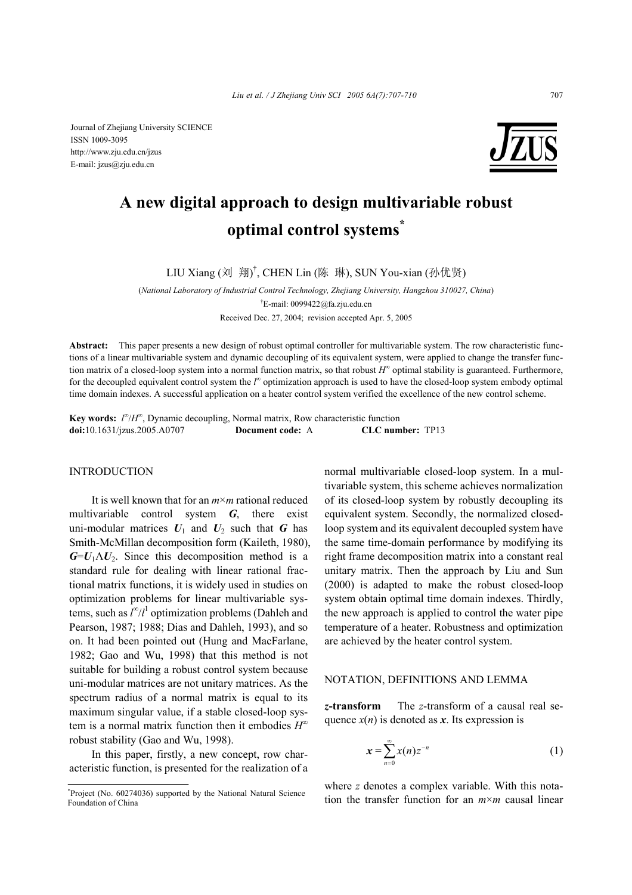Journal of Zhejiang University SCIENCE ISSN 1009-3095 http://www.zju.edu.cn/jzus E-mail: jzus@zju.edu.cn



# **A new digital approach to design multivariable robust optimal control systems\***

LIU Xiang (刘 翔) † , CHEN Lin (陈 琳), SUN You-xian (孙优贤)

(*National Laboratory of Industrial Control Technology, Zhejiang University, Hangzhou 310027, China*) † E-mail: 0099422@fa.zju.edu.cn Received Dec. 27, 2004; revision accepted Apr. 5, 2005

**Abstract:** This paper presents a new design of robust optimal controller for multivariable system. The row characteristic functions of a linear multivariable system and dynamic decoupling of its equivalent system, were applied to change the transfer function matrix of a closed-loop system into a normal function matrix, so that robust  $H^{\infty}$  optimal stability is guaranteed. Furthermore, for the decoupled equivalent control system the *l*<sup>∞</sup> optimization approach is used to have the closed-loop system embody optimal time domain indexes. A successful application on a heater control system verified the excellence of the new control scheme.

**Key words:**  $I^{\infty}/H^{\infty}$ , Dynamic decoupling, Normal matrix, Row characteristic function **doi:**10.1631/jzus.2005.A0707 **Document code:** A **CLC number:** TP13

# **INTRODUCTION**

It is well known that for an *m*×*m* rational reduced multivariable control system *G*, there exist uni-modular matrices  $U_1$  and  $U_2$  such that *G* has Smith-McMillan decomposition form (Kaileth, 1980),  $G=U_1\Lambda U_2$ . Since this decomposition method is a standard rule for dealing with linear rational fractional matrix functions, it is widely used in studies on optimization problems for linear multivariable systems, such as  $l^{\infty}/l^1$  optimization problems (Dahleh and Pearson, 1987; 1988; Dias and Dahleh, 1993), and so on. It had been pointed out (Hung and MacFarlane, 1982; Gao and Wu, 1998) that this method is not suitable for building a robust control system because uni-modular matrices are not unitary matrices. As the spectrum radius of a normal matrix is equal to its maximum singular value, if a stable closed-loop system is a normal matrix function then it embodies *H*<sup>∞</sup> robust stability (Gao and Wu, 1998).

In this paper, firstly, a new concept, row characteristic function, is presented for the realization of a normal multivariable closed-loop system. In a multivariable system, this scheme achieves normalization of its closed-loop system by robustly decoupling its equivalent system. Secondly, the normalized closedloop system and its equivalent decoupled system have the same time-domain performance by modifying its right frame decomposition matrix into a constant real unitary matrix. Then the approach by Liu and Sun (2000) is adapted to make the robust closed-loop system obtain optimal time domain indexes. Thirdly, the new approach is applied to control the water pipe temperature of a heater. Robustness and optimization are achieved by the heater control system.

# NOTATION, DEFINITIONS AND LEMMA

*z***-transform** The *z*-transform of a causal real sequence  $x(n)$  is denoted as  $x$ . Its expression is

$$
x = \sum_{n=0}^{\infty} x(n) z^{-n}
$$
 (1)

where *z* denotes a complex variable. With this notation the transfer function for an *m*×*m* causal linear

<sup>\*</sup> Project (No. 60274036) supported by the National Natural Science Foundation of China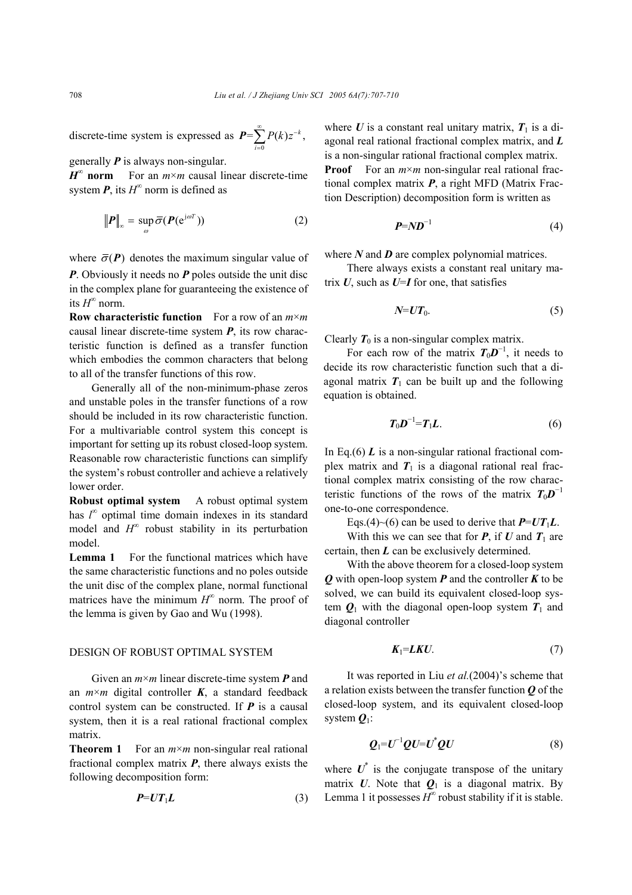discrete-time system is expressed as  $P = \sum_{i=0}^{\infty} P(k) z^{-k}$ , *i* =

generally *P* is always non-singular.

 $H^{\infty}$  **norm** For an  $m \times m$  causal linear discrete-time system  $P$ , its  $H^{\infty}$  norm is defined as

$$
\|\boldsymbol{P}\|_{\infty} = \sup_{\omega} \overline{\sigma}(\boldsymbol{P}(\mathrm{e}^{\mathrm{j}\omega T})) \tag{2}
$$

where  $\bar{\sigma}(\mathbf{P})$  denotes the maximum singular value of

*P*. Obviously it needs no *P* poles outside the unit disc in the complex plane for guaranteeing the existence of its  $H^{\infty}$  norm.

**Row characteristic function** For a row of an *m*×*m* causal linear discrete-time system *P*, its row characteristic function is defined as a transfer function which embodies the common characters that belong to all of the transfer functions of this row.

Generally all of the non-minimum-phase zeros and unstable poles in the transfer functions of a row should be included in its row characteristic function. For a multivariable control system this concept is important for setting up its robust closed-loop system. Reasonable row characteristic functions can simplify the system's robust controller and achieve a relatively lower order.

**Robust optimal system** A robust optimal system has  $l^{\infty}$  optimal time domain indexes in its standard model and  $H^{\infty}$  robust stability in its perturbation model.

**Lemma 1** For the functional matrices which have the same characteristic functions and no poles outside the unit disc of the complex plane, normal functional matrices have the minimum  $H^{\infty}$  norm. The proof of the lemma is given by Gao and Wu (1998).

### DESIGN OF ROBUST OPTIMAL SYSTEM

Given an *m*×*m* linear discrete-time system *P* and an  $m \times m$  digital controller  $K$ , a standard feedback control system can be constructed. If *P* is a causal system, then it is a real rational fractional complex matrix.

**Theorem 1** For an *m*×*m* non-singular real rational fractional complex matrix *P*, there always exists the following decomposition form:

$$
P=UT_1L
$$
 (3)

where  $U$  is a constant real unitary matrix,  $T_1$  is a diagonal real rational fractional complex matrix, and *L* is a non-singular rational fractional complex matrix. **Proof** For an  $m \times m$  non-singular real rational fractional complex matrix *P*, a right MFD (Matrix Fraction Description) decomposition form is written as

$$
P = N D^{-1} \tag{4}
$$

where *N* and *D* are complex polynomial matrices.

There always exists a constant real unitary matrix  $U$ , such as  $U=I$  for one, that satisfies

$$
N=UT_0.\t\t(5)
$$

Clearly  $T_0$  is a non-singular complex matrix.

For each row of the matrix  $T_0D^{-1}$ , it needs to decide its row characteristic function such that a diagonal matrix  $T_1$  can be built up and the following equation is obtained.

$$
T_0D^{-1}=T_1L.\t\t(6)
$$

In Eq.(6)  $\boldsymbol{L}$  is a non-singular rational fractional complex matrix and  $T_1$  is a diagonal rational real fractional complex matrix consisting of the row characteristic functions of the rows of the matrix  $T_0D^{-1}$ one-to-one correspondence.

Eqs.(4)~(6) can be used to derive that  $P=UT_1L$ .

With this we can see that for  $P$ , if  $U$  and  $T_1$  are certain, then *L* can be exclusively determined.

With the above theorem for a closed-loop system *Q* with open-loop system *P* and the controller *K* to be solved, we can build its equivalent closed-loop system  $Q_1$  with the diagonal open-loop system  $T_1$  and diagonal controller

$$
K_1 = LKU. \tag{7}
$$

It was reported in Liu *et al.*(2004)'s scheme that a relation exists between the transfer function *Q* of the closed-loop system, and its equivalent closed-loop system *Q*1:

$$
\mathbf{Q}_1 = \mathbf{U}^{-1} \mathbf{Q} \mathbf{U} = \mathbf{U}^* \mathbf{Q} \mathbf{U} \tag{8}
$$

where  $U^*$  is the conjugate transpose of the unitary matrix  $U$ . Note that  $Q_1$  is a diagonal matrix. By Lemma 1 it possesses  $H^{\infty}$  robust stability if it is stable.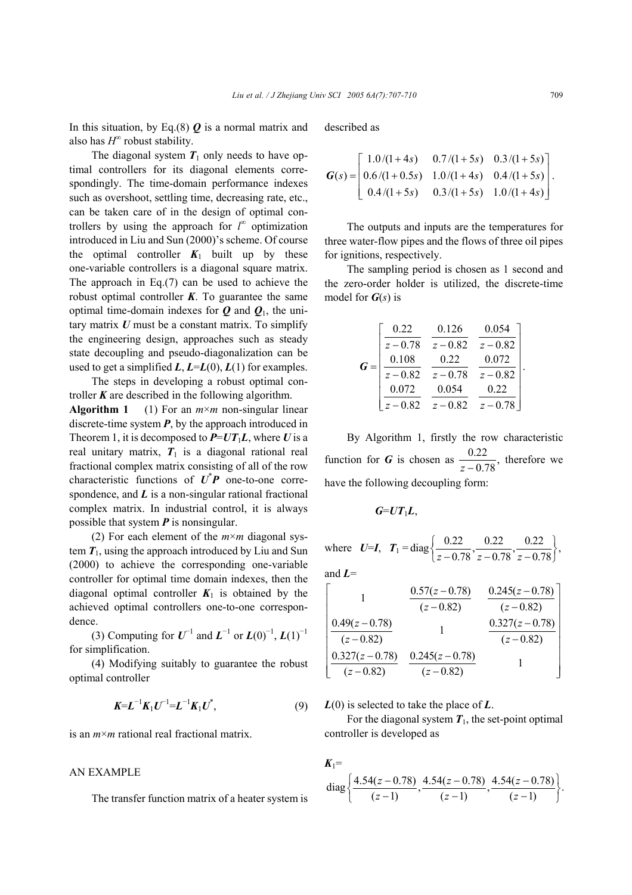In this situation, by Eq.(8)  $\boldsymbol{Q}$  is a normal matrix and also has  $H^{\infty}$  robust stability.

The diagonal system  $T_1$  only needs to have optimal controllers for its diagonal elements correspondingly. The time-domain performance indexes such as overshoot, settling time, decreasing rate, etc., can be taken care of in the design of optimal controllers by using the approach for *<sup>* $\infty$ *</sup> optimization* introduced in Liu and Sun (2000)'s scheme. Of course the optimal controller  $K_1$  built up by these one-variable controllers is a diagonal square matrix. The approach in Eq.(7) can be used to achieve the robust optimal controller  $K$ . To guarantee the same optimal time-domain indexes for  $Q$  and  $Q_1$ , the unitary matrix *U* must be a constant matrix. To simplify the engineering design, approaches such as steady state decoupling and pseudo-diagonalization can be used to get a simplified  $L$ ,  $L = L(0)$ ,  $L(1)$  for examples.

The steps in developing a robust optimal controller *K* are described in the following algorithm. **Algorithm 1** (1) For an *m*×*m* non-singular linear

discrete-time system  $P$ , by the approach introduced in Theorem 1, it is decomposed to  $P=UT_1L$ , where *U* is a real unitary matrix,  $T_1$  is a diagonal rational real fractional complex matrix consisting of all of the row characteristic functions of  $\vec{U}^* P$  one-to-one correspondence, and *L* is a non-singular rational fractional complex matrix. In industrial control, it is always possible that system *P* is nonsingular.

(2) For each element of the *m*×*m* diagonal system  $T_1$ , using the approach introduced by Liu and Sun (2000) to achieve the corresponding one-variable controller for optimal time domain indexes, then the diagonal optimal controller  $K_1$  is obtained by the achieved optimal controllers one-to-one correspondence.

(3) Computing for  $U^{-1}$  and  $L^{-1}$  or  $L(0)^{-1}$ ,  $L(1)^{-1}$ for simplification.

(4) Modifying suitably to guarantee the robust optimal controller

$$
K = L^{-1} K_1 U^{-1} = L^{-1} K_1 U^*, \tag{9}
$$

is an *m*×*m* rational real fractional matrix.

#### AN EXAMPLE

The transfer function matrix of a heater system is

described as

$$
\boldsymbol{G}(s) = \begin{bmatrix} 1.0/(1+4s) & 0.7/(1+5s) & 0.3/(1+5s) \\ 0.6/(1+0.5s) & 1.0/(1+4s) & 0.4/(1+5s) \\ 0.4/(1+5s) & 0.3/(1+5s) & 1.0/(1+4s) \end{bmatrix}.
$$

The outputs and inputs are the temperatures for three water-flow pipes and the flows of three oil pipes for ignitions, respectively.

The sampling period is chosen as 1 second and the zero-order holder is utilized, the discrete-time model for *G*(*s*) is

| $G =$ | 0.22       | 0.126      | 0.054      |
|-------|------------|------------|------------|
|       | $z - 0.78$ | $z - 0.82$ | $z - 0.82$ |
|       | 0.108      | 0.22       | 0.072      |
|       | $z - 0.82$ | $z - 0.78$ | $z - 0.82$ |
|       | 0.072      | 0.054      | 0.22       |
|       | $z - 0.82$ | $z - 0.82$ | $z - 0.78$ |

By Algorithm 1, firstly the row characteristic function for *G* is chosen as  $\frac{0.22}{z - 0.78}$ , therefore we have the following decoupling form:

$$
G=UT_1L,
$$

where  $U=I$ ,  $T_1 = \text{diag}\left\{\frac{0.22}{0.22}, \frac{0.22}{0.22}, \frac{0.22}{0.22}\right\}$ ,  $\left\{\frac{0.22}{z-0.78}, \frac{0.22}{z-0.78}, \frac{0.22}{z-0.78}\right\},\right.$ 

and *L*=

$$
\begin{bmatrix}\n1 & \frac{0.57(z - 0.78)}{(z - 0.82)} & \frac{0.245(z - 0.78)}{(z - 0.82)} \\
\frac{0.49(z - 0.78)}{(z - 0.82)} & 1 & \frac{0.327(z - 0.78)}{(z - 0.82)} \\
\frac{0.327(z - 0.78)}{(z - 0.82)} & \frac{0.245(z - 0.78)}{(z - 0.82)} & 1\n\end{bmatrix}
$$

*L*(0) is selected to take the place of *L*.

For the diagonal system  $T_1$ , the set-point optimal controller is developed as

$$
K_1 = \text{diag}\left\{\frac{4.54(z-0.78)}{(z-1)}, \frac{4.54(z-0.78)}{(z-1)}, \frac{4.54(z-0.78)}{(z-1)}\right\}.
$$